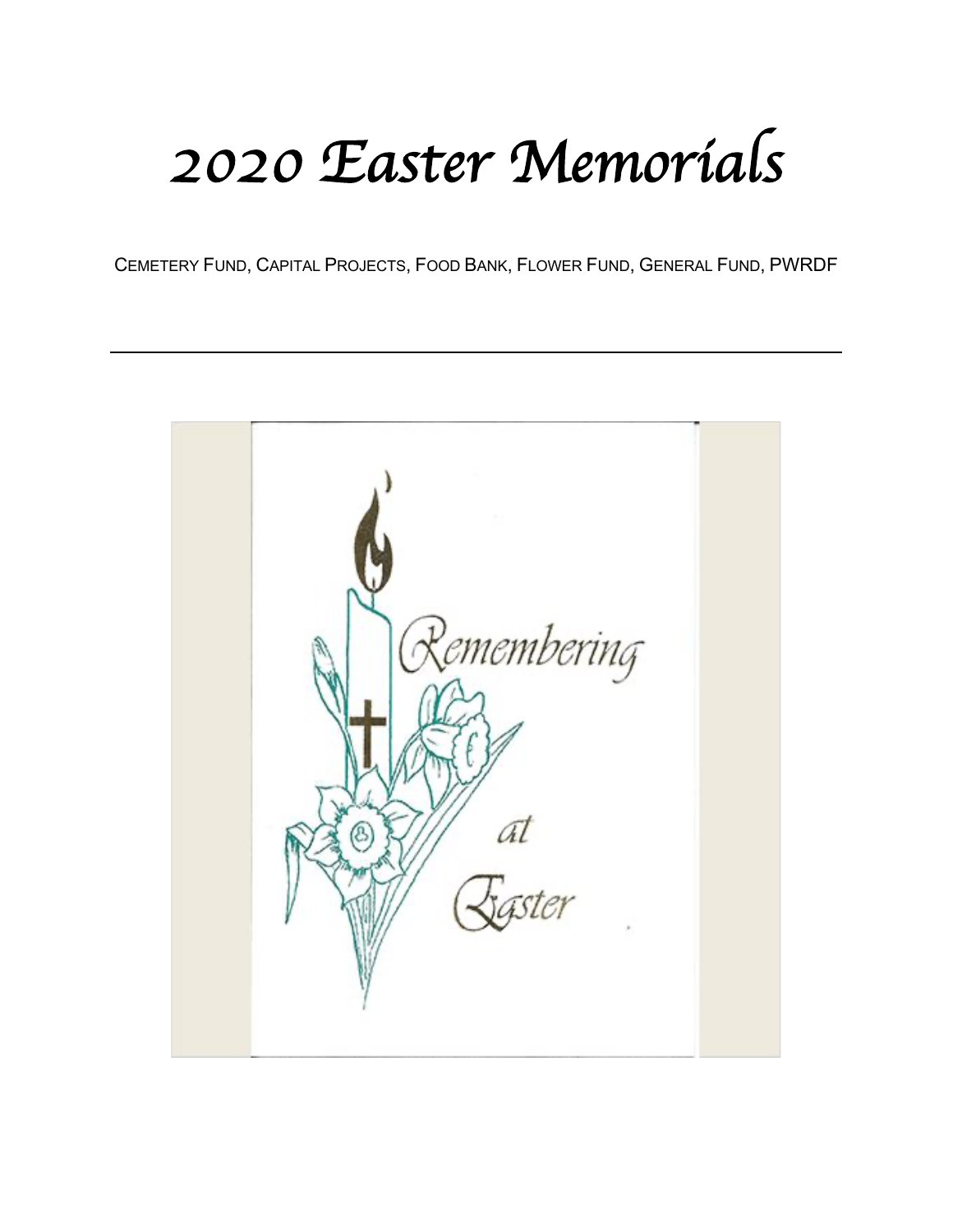## *2020 Easter Memorials*

CEMETERY FUND, CAPITAL PROJECTS, FOOD BANK, FLOWER FUND, GENERAL FUND, PWRDF

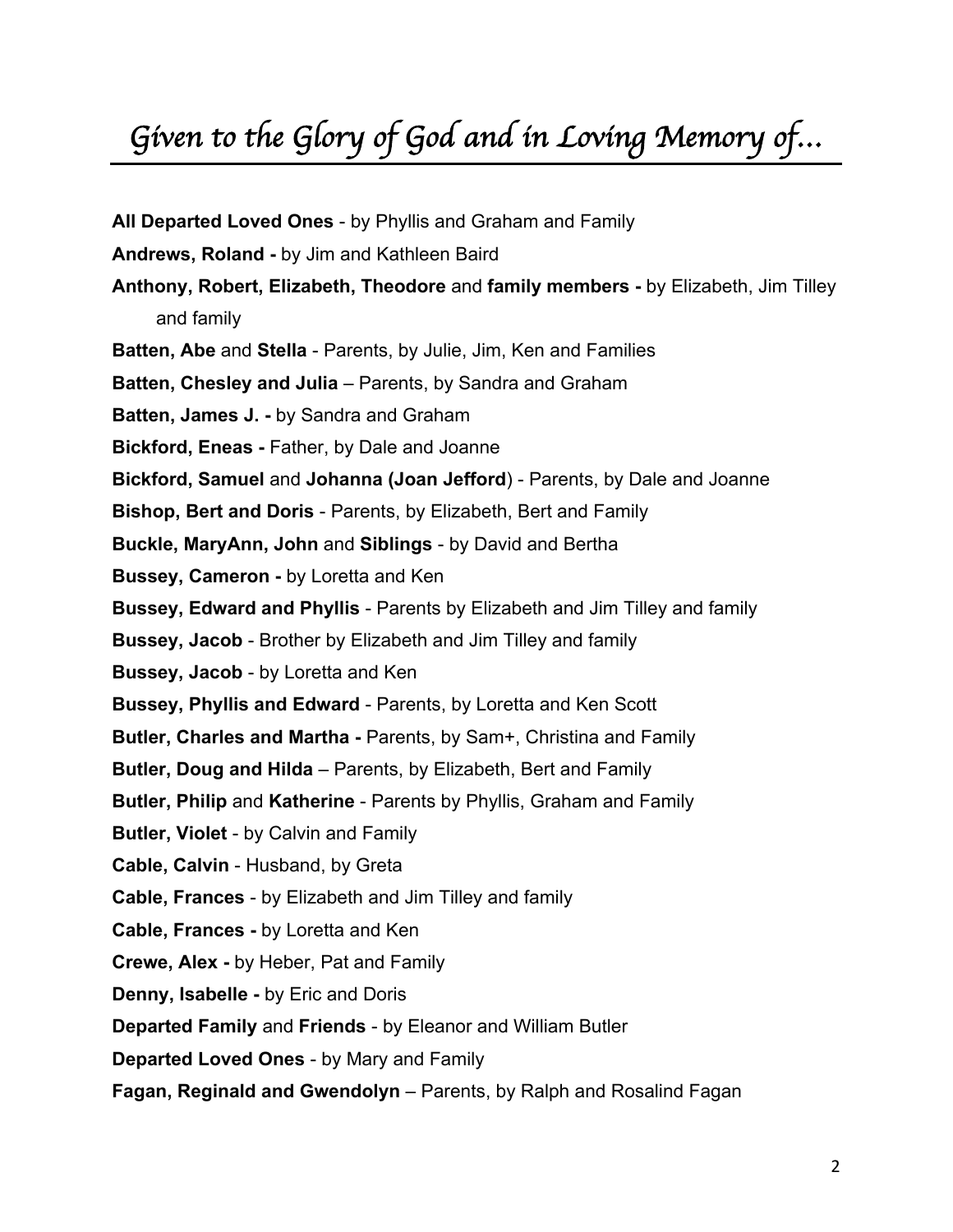## *Given to the Glory of God and in Loving Memory of…*

**All Departed Loved Ones** - by Phyllis and Graham and Family **Andrews, Roland -** by Jim and Kathleen Baird **Anthony, Robert, Elizabeth, Theodore** and **family members -** by Elizabeth, Jim Tilley and family **Batten, Abe** and **Stella** - Parents, by Julie, Jim, Ken and Families **Batten, Chesley and Julia** – Parents, by Sandra and Graham **Batten, James J. -** by Sandra and Graham **Bickford, Eneas -** Father, by Dale and Joanne **Bickford, Samuel** and **Johanna (Joan Jefford**) - Parents, by Dale and Joanne **Bishop, Bert and Doris** - Parents, by Elizabeth, Bert and Family **Buckle, MaryAnn, John** and **Siblings** - by David and Bertha **Bussey, Cameron -** by Loretta and Ken **Bussey, Edward and Phyllis** - Parents by Elizabeth and Jim Tilley and family **Bussey, Jacob** - Brother by Elizabeth and Jim Tilley and family **Bussey, Jacob** - by Loretta and Ken **Bussey, Phyllis and Edward** - Parents, by Loretta and Ken Scott **Butler, Charles and Martha -** Parents, by Sam+, Christina and Family **Butler, Doug and Hilda** – Parents, by Elizabeth, Bert and Family **Butler, Philip** and **Katherine** - Parents by Phyllis, Graham and Family **Butler, Violet** - by Calvin and Family **Cable, Calvin** - Husband, by Greta **Cable, Frances** - by Elizabeth and Jim Tilley and family **Cable, Frances -** by Loretta and Ken **Crewe, Alex -** by Heber, Pat and Family **Denny, Isabelle -** by Eric and Doris **Departed Family** and **Friends** - by Eleanor and William Butler **Departed Loved Ones** - by Mary and Family **Fagan, Reginald and Gwendolyn** – Parents, by Ralph and Rosalind Fagan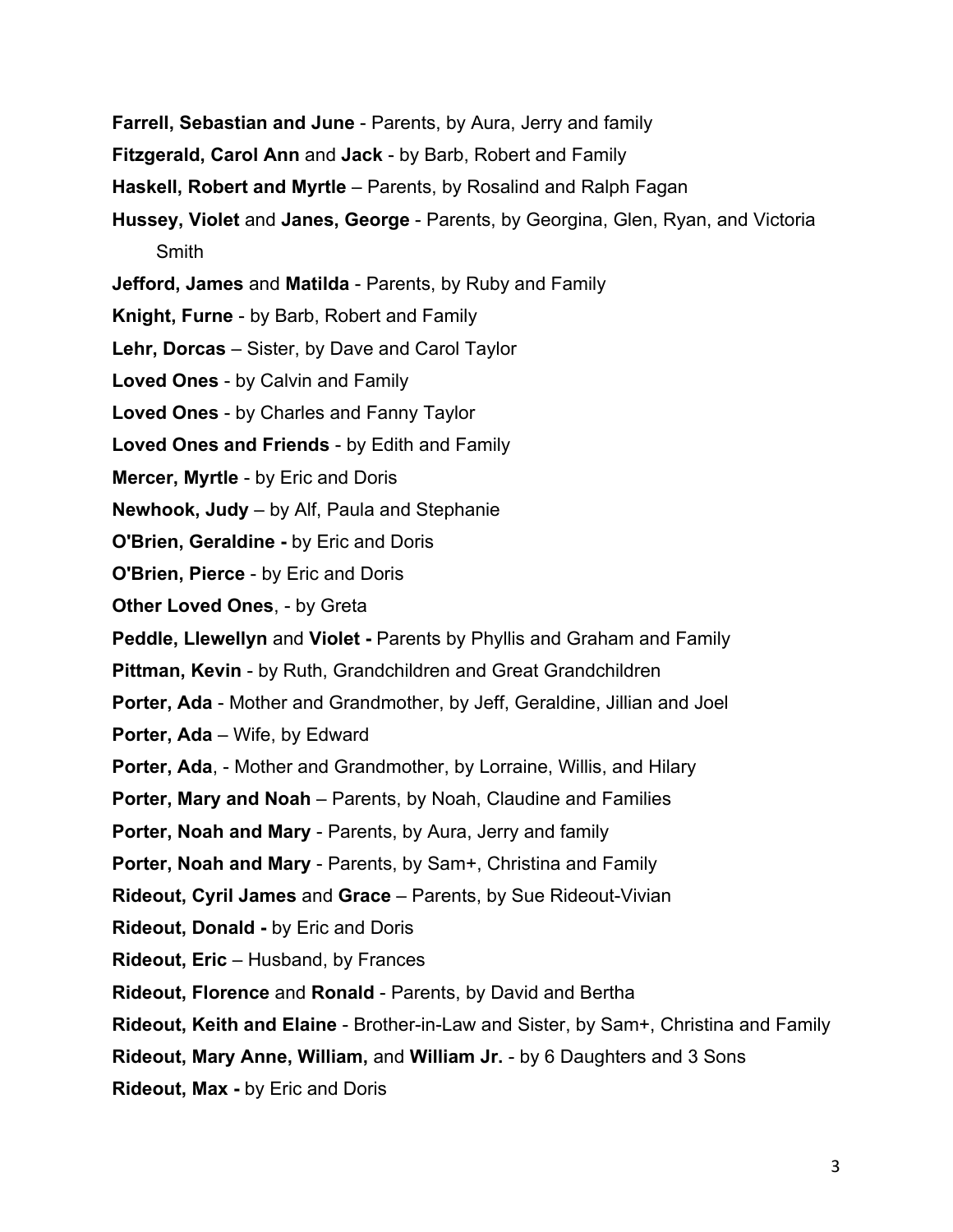- **Farrell, Sebastian and June** Parents, by Aura, Jerry and family
- **Fitzgerald, Carol Ann** and **Jack** by Barb, Robert and Family
- **Haskell, Robert and Myrtle**  Parents, by Rosalind and Ralph Fagan
- **Hussey, Violet** and **Janes, George** Parents, by Georgina, Glen, Ryan, and Victoria **Smith**
- **Jefford, James** and **Matilda** Parents, by Ruby and Family
- **Knight, Furne** by Barb, Robert and Family
- **Lehr, Dorcas** Sister, by Dave and Carol Taylor
- **Loved Ones** by Calvin and Family
- **Loved Ones** by Charles and Fanny Taylor
- **Loved Ones and Friends** by Edith and Family
- **Mercer, Myrtle** by Eric and Doris
- **Newhook, Judy** by Alf, Paula and Stephanie
- **O'Brien, Geraldine -** by Eric and Doris
- **O'Brien, Pierce** by Eric and Doris
- **Other Loved Ones**, by Greta
- **Peddle, Llewellyn** and **Violet -** Parents by Phyllis and Graham and Family
- **Pittman, Kevin** by Ruth, Grandchildren and Great Grandchildren
- **Porter, Ada** Mother and Grandmother, by Jeff, Geraldine, Jillian and Joel
- **Porter, Ada** Wife, by Edward
- **Porter, Ada**, Mother and Grandmother, by Lorraine, Willis, and Hilary
- **Porter, Mary and Noah** Parents, by Noah, Claudine and Families
- **Porter, Noah and Mary** Parents, by Aura, Jerry and family
- **Porter, Noah and Mary** Parents, by Sam+, Christina and Family
- **Rideout, Cyril James** and **Grace** Parents, by Sue Rideout-Vivian
- **Rideout, Donald -** by Eric and Doris
- **Rideout, Eric** Husband, by Frances
- **Rideout, Florence** and **Ronald** Parents, by David and Bertha
- **Rideout, Keith and Elaine** Brother-in-Law and Sister, by Sam+, Christina and Family
- **Rideout, Mary Anne, William,** and **William Jr.** by 6 Daughters and 3 Sons
- **Rideout, Max -** by Eric and Doris